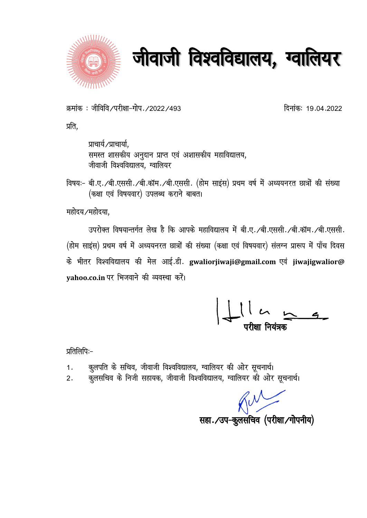



क्रमांक: जीविवि/परीक्षा-गोप./2022/493

दिनांकः 19.04.2022

प्रति,

प्राचार्य/प्राचार्या, समस्त शासकीय अनुदान प्राप्त एवं अशासकीय महाविद्यालय, जीवाजी विश्वविद्यालय. ग्वालियर

विषयः- बी.ए. /बी.एससी. /बी.कॉम. /बी.एससी. (होम साइंस) प्रथम वर्ष में अध्ययनरत छात्रों की संख्या (कक्षा एवं विषयवार) उपलब्ध कराने बाबत।

महोदय ⁄महोदया.

उपरोक्त विषयान्तर्गत लेख है कि आपके महाविद्यालय में बी.ए. /बी.एससी. /बी.कॉम. /बी.एससी. (होम साइंस) प्रथम वर्ष में अध्ययनरत छात्रों की संख्या (कक्षा एवं विषयवार) संलग्न प्रारूप में पाँच दिवस के भीतर विश्वविद्यालय की मेल आई.डी. gwaliorjiwaji@gmail.com एवं jiwajigwalior@ vahoo.co.in पर भिजवाने की व्यवस्था करें।

 $\frac{11}{11}$ 

प्रतिलिपिः–

- कुलपति के सचिव, जीवाजी विश्वविद्यालय, ग्वालियर की ओर सूचनार्थ।  $1.$
- कुलसचिव के निजी सहायक, जीवाजी विश्वविद्यालय, ग्वालियर को ओर सूचनार्थ।  $2.$

सहा. / उप-कूलसचिव (परीक्षा / गोपनीय)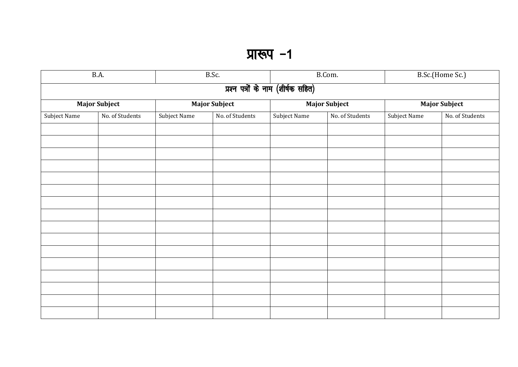## प्रारूप -1

| B.A.                               |                 | B.Sc.         |                 | B.Com.               |                 | B.Sc.(Home Sc.)      |                 |  |  |
|------------------------------------|-----------------|---------------|-----------------|----------------------|-----------------|----------------------|-----------------|--|--|
| प्रश्न पत्रों के नाम (शीर्षक सहित) |                 |               |                 |                      |                 |                      |                 |  |  |
| <b>Major Subject</b>               |                 | Major Subject |                 | <b>Major Subject</b> |                 | <b>Major Subject</b> |                 |  |  |
| Subject Name                       | No. of Students | Subject Name  | No. of Students | <b>Subject Name</b>  | No. of Students | Subject Name         | No. of Students |  |  |
|                                    |                 |               |                 |                      |                 |                      |                 |  |  |
|                                    |                 |               |                 |                      |                 |                      |                 |  |  |
|                                    |                 |               |                 |                      |                 |                      |                 |  |  |
|                                    |                 |               |                 |                      |                 |                      |                 |  |  |
|                                    |                 |               |                 |                      |                 |                      |                 |  |  |
|                                    |                 |               |                 |                      |                 |                      |                 |  |  |
|                                    |                 |               |                 |                      |                 |                      |                 |  |  |
|                                    |                 |               |                 |                      |                 |                      |                 |  |  |
|                                    |                 |               |                 |                      |                 |                      |                 |  |  |
|                                    |                 |               |                 |                      |                 |                      |                 |  |  |
|                                    |                 |               |                 |                      |                 |                      |                 |  |  |
|                                    |                 |               |                 |                      |                 |                      |                 |  |  |
|                                    |                 |               |                 |                      |                 |                      |                 |  |  |
|                                    |                 |               |                 |                      |                 |                      |                 |  |  |
|                                    |                 |               |                 |                      |                 |                      |                 |  |  |
|                                    |                 |               |                 |                      |                 |                      |                 |  |  |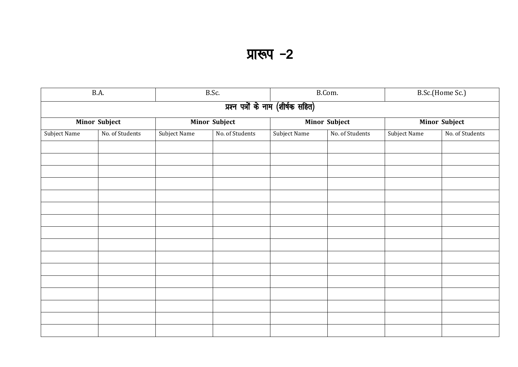## प्रारूप -2

| B.A.                               |                 | B.Sc.                |                 | B.Com.        |                 | B.Sc.(Home Sc.)      |                 |  |  |
|------------------------------------|-----------------|----------------------|-----------------|---------------|-----------------|----------------------|-----------------|--|--|
| प्रश्न पत्रों के नाम (शीर्षक सहित) |                 |                      |                 |               |                 |                      |                 |  |  |
| Minor Subject                      |                 | <b>Minor Subject</b> |                 | Minor Subject |                 | <b>Minor Subject</b> |                 |  |  |
| Subject Name                       | No. of Students | Subject Name         | No. of Students | Subject Name  | No. of Students | Subject Name         | No. of Students |  |  |
|                                    |                 |                      |                 |               |                 |                      |                 |  |  |
|                                    |                 |                      |                 |               |                 |                      |                 |  |  |
|                                    |                 |                      |                 |               |                 |                      |                 |  |  |
|                                    |                 |                      |                 |               |                 |                      |                 |  |  |
|                                    |                 |                      |                 |               |                 |                      |                 |  |  |
|                                    |                 |                      |                 |               |                 |                      |                 |  |  |
|                                    |                 |                      |                 |               |                 |                      |                 |  |  |
|                                    |                 |                      |                 |               |                 |                      |                 |  |  |
|                                    |                 |                      |                 |               |                 |                      |                 |  |  |
|                                    |                 |                      |                 |               |                 |                      |                 |  |  |
|                                    |                 |                      |                 |               |                 |                      |                 |  |  |
|                                    |                 |                      |                 |               |                 |                      |                 |  |  |
|                                    |                 |                      |                 |               |                 |                      |                 |  |  |
|                                    |                 |                      |                 |               |                 |                      |                 |  |  |
|                                    |                 |                      |                 |               |                 |                      |                 |  |  |
|                                    |                 |                      |                 |               |                 |                      |                 |  |  |
|                                    |                 |                      |                 |               |                 |                      |                 |  |  |